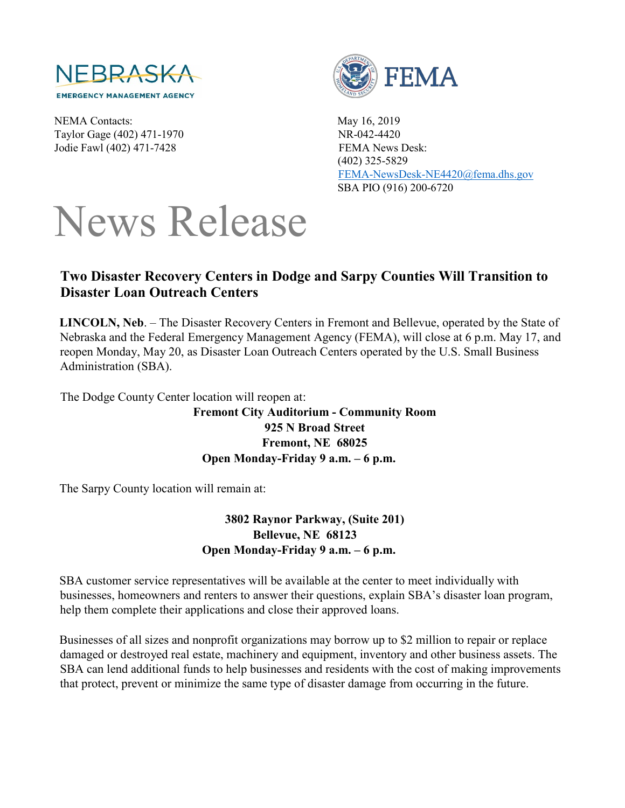

NEMA Contacts: May 16, 2019 Taylor Gage (402) 471-1970 NR-042-4420 Jodie Fawl (402) 471-7428 FEMA News Desk:



 (402) 325-5829 FEMA-NewsDesk-NE4420@fema.dhs.gov SBA PIO (916) 200-6720

## News Release

## **Two Disaster Recovery Centers in Dodge and Sarpy Counties Will Transition to Disaster Loan Outreach Centers**

**LINCOLN, Neb**. – The Disaster Recovery Centers in Fremont and Bellevue, operated by the State of Nebraska and the Federal Emergency Management Agency (FEMA), will close at 6 p.m. May 17, and reopen Monday, May 20, as Disaster Loan Outreach Centers operated by the U.S. Small Business Administration (SBA).

The Dodge County Center location will reopen at:

**Fremont City Auditorium - Community Room 925 N Broad Street Fremont, NE 68025 Open Monday-Friday 9 a.m. – 6 p.m.**

The Sarpy County location will remain at:

**3802 Raynor Parkway, (Suite 201) Bellevue, NE 68123 Open Monday-Friday 9 a.m. – 6 p.m.**

SBA customer service representatives will be available at the center to meet individually with businesses, homeowners and renters to answer their questions, explain SBA's disaster loan program, help them complete their applications and close their approved loans.

Businesses of all sizes and nonprofit organizations may borrow up to \$2 million to repair or replace damaged or destroyed real estate, machinery and equipment, inventory and other business assets. The SBA can lend additional funds to help businesses and residents with the cost of making improvements that protect, prevent or minimize the same type of disaster damage from occurring in the future.